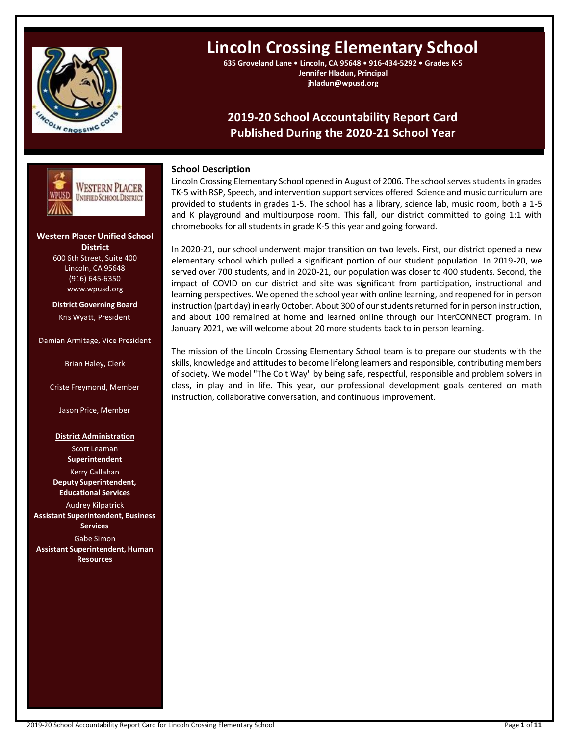

# **Lincoln Crossing Elementary School**

**635 Groveland Lane • Lincoln, CA 95648 • 916-434-5292 • Grades K-5 Jennifer Hladun, Principal jhladun@wpusd.org**

# **2019-20 School Accountability Report Card Published During the 2020-21 School Year**



# **Western Placer Unified School District** 600 6th Street, Suite 400

Lincoln, CA 95648 (916) 645-6350 www.wpusd.org

**District Governing Board** Kris Wyatt, President

### Damian Armitage, Vice President

Brian Haley, Clerk

Criste Freymond, Member

Jason Price, Member

### **District Administration**

Scott Leaman **Superintendent** Kerry Callahan **Deputy Superintendent, Educational Services** Audrey Kilpatrick

**Assistant Superintendent, Business Services**

Gabe Simon

**Assistant Superintendent, Human Resources**

# **School Description**

Lincoln Crossing Elementary School opened in August of 2006. The school serves students in grades TK-5 with RSP, Speech, and intervention support services offered. Science and music curriculum are provided to students in grades 1-5. The school has a library, science lab, music room, both a 1-5 and K playground and multipurpose room. This fall, our district committed to going 1:1 with chromebooks for all students in grade K-5 this year and going forward.

In 2020-21, our school underwent major transition on two levels. First, our district opened a new elementary school which pulled a significant portion of our student population. In 2019-20, we served over 700 students, and in 2020-21, our population was closer to 400 students. Second, the impact of COVID on our district and site was significant from participation, instructional and learning perspectives. We opened the school year with online learning, and reopened for in person instruction (part day) in early October. About 300 of our students returned for in person instruction, and about 100 remained at home and learned online through our interCONNECT program. In January 2021, we will welcome about 20 more students back to in person learning.

The mission of the Lincoln Crossing Elementary School team is to prepare our students with the skills, knowledge and attitudes to become lifelong learners and responsible, contributing members of society. We model "The Colt Way" by being safe, respectful, responsible and problem solvers in class, in play and in life. This year, our professional development goals centered on math instruction, collaborative conversation, and continuous improvement.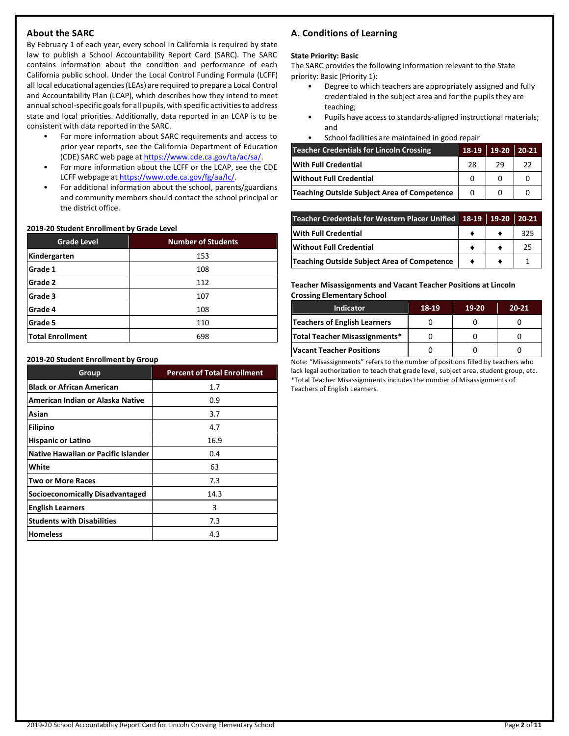# **About the SARC**

By February 1 of each year, every school in California is required by state law to publish a School Accountability Report Card (SARC). The SARC contains information about the condition and performance of each California public school. Under the Local Control Funding Formula (LCFF) all local educational agencies (LEAs) are required to prepare a Local Control and Accountability Plan (LCAP), which describes how they intend to meet annual school-specific goals for all pupils, with specific activities to address state and local priorities. Additionally, data reported in an LCAP is to be consistent with data reported in the SARC.

- For more information about SARC requirements and access to prior year reports, see the California Department of Education (CDE) SARC web page a[t https://www.cde.ca.gov/ta/ac/sa/.](https://www.cde.ca.gov/ta/ac/sa/)
- For more information about the LCFF or the LCAP, see the CDE LCFF webpage a[t https://www.cde.ca.gov/fg/aa/lc/.](https://www.cde.ca.gov/fg/aa/lc/)
- For additional information about the school, parents/guardians and community members should contact the school principal or the district office.

### **2019-20 Student Enrollment by Grade Level**

| <b>Grade Level</b>      | <b>Number of Students</b> |
|-------------------------|---------------------------|
| Kindergarten            | 153                       |
| Grade 1                 | 108                       |
| Grade 2                 | 112                       |
| Grade 3                 | 107                       |
| Grade 4                 | 108                       |
| Grade 5                 | 110                       |
| <b>Total Enrollment</b> | 698                       |

### **2019-20 Student Enrollment by Group**

| Group                               | <b>Percent of Total Enrollment</b> |
|-------------------------------------|------------------------------------|
| <b>Black or African American</b>    | 1.7                                |
| American Indian or Alaska Native    | 0.9                                |
| Asian                               | 3.7                                |
| Filipino                            | 4.7                                |
| <b>Hispanic or Latino</b>           | 16.9                               |
| Native Hawaiian or Pacific Islander | 0.4                                |
| White                               | 63                                 |
| <b>Two or More Races</b>            | 7.3                                |
| Socioeconomically Disadvantaged     | 14.3                               |
| <b>English Learners</b>             | 3                                  |
| <b>Students with Disabilities</b>   | 7.3                                |
| <b>Homeless</b>                     | 4.3                                |

# **A. Conditions of Learning**

### **State Priority: Basic**

The SARC provides the following information relevant to the State priority: Basic (Priority 1):

- Degree to which teachers are appropriately assigned and fully credentialed in the subject area and for the pupils they are teaching;
- Pupils have access to standards-aligned instructional materials; and
- School facilities are maintained in good repair

| <b>Teacher Credentials for Lincoln Crossing</b> | 18-19 | $19-20$ | $20 - 21$ |
|-------------------------------------------------|-------|---------|-----------|
| With Full Credential                            | 28    | 29      | 22        |
| <b>Without Full Credential</b>                  |       |         |           |
| Teaching Outside Subject Area of Competence     | O     |         |           |

| Teacher Credentials for Western Placer Unified 18-19 19-20 20-21 |  |     |
|------------------------------------------------------------------|--|-----|
| <b>With Full Credential</b>                                      |  | 325 |
| <b>Without Full Credential</b>                                   |  | 25  |
| <b>Teaching Outside Subject Area of Competence</b>               |  |     |

### **Teacher Misassignments and Vacant Teacher Positions at Lincoln Crossing Elementary School**

| <b>Indicator</b>                | 18-19 | $19-20$ | $20 - 21$ |
|---------------------------------|-------|---------|-----------|
| Teachers of English Learners    |       |         |           |
| Total Teacher Misassignments*   |       |         |           |
| <b>Vacant Teacher Positions</b> |       |         |           |

Note: "Misassignments" refers to the number of positions filled by teachers who lack legal authorization to teach that grade level, subject area, student group, etc. \*Total Teacher Misassignments includes the number of Misassignments of Teachers of English Learners.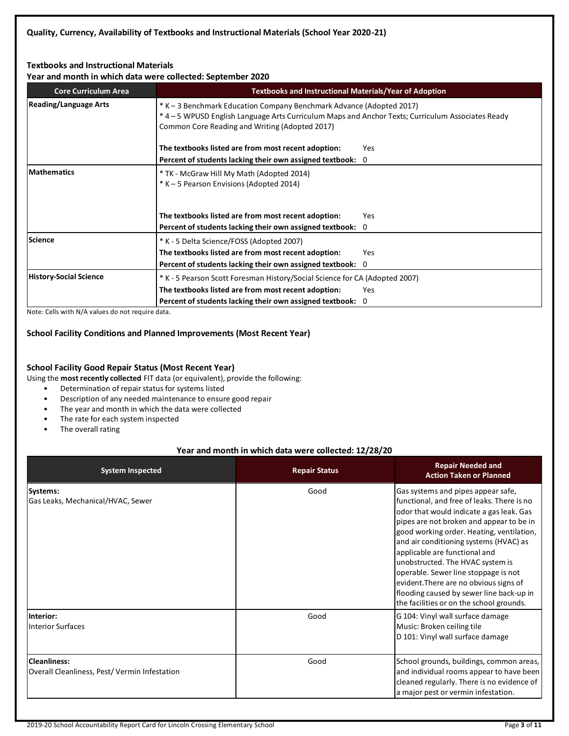# **Textbooks and Instructional Materials**

**Year and month in which data were collected: September 2020**

| <b>Core Curriculum Area</b>   |                                                                                                                                                                                                                             | <b>Textbooks and Instructional Materials/Year of Adoption</b> |  |  |  |
|-------------------------------|-----------------------------------------------------------------------------------------------------------------------------------------------------------------------------------------------------------------------------|---------------------------------------------------------------|--|--|--|
| <b>Reading/Language Arts</b>  | * K – 3 Benchmark Education Company Benchmark Advance (Adopted 2017)<br>* 4 - 5 WPUSD English Language Arts Curriculum Maps and Anchor Texts; Curriculum Associates Ready<br>Common Core Reading and Writing (Adopted 2017) |                                                               |  |  |  |
|                               | The textbooks listed are from most recent adoption:                                                                                                                                                                         | Yes                                                           |  |  |  |
|                               | Percent of students lacking their own assigned textbook: 0                                                                                                                                                                  |                                                               |  |  |  |
| <b>Mathematics</b>            | * TK - McGraw Hill My Math (Adopted 2014)<br>* K - 5 Pearson Envisions (Adopted 2014)                                                                                                                                       |                                                               |  |  |  |
|                               | The textbooks listed are from most recent adoption:                                                                                                                                                                         | Yes                                                           |  |  |  |
|                               | Percent of students lacking their own assigned textbook: 0                                                                                                                                                                  |                                                               |  |  |  |
| Science                       | * K - 5 Delta Science/FOSS (Adopted 2007)                                                                                                                                                                                   |                                                               |  |  |  |
|                               | The textbooks listed are from most recent adoption:                                                                                                                                                                         | Yes                                                           |  |  |  |
|                               | Percent of students lacking their own assigned textbook: 0                                                                                                                                                                  |                                                               |  |  |  |
| <b>History-Social Science</b> | * K - 5 Pearson Scott Foresman History/Social Science for CA (Adopted 2007)                                                                                                                                                 |                                                               |  |  |  |
|                               | The textbooks listed are from most recent adoption:                                                                                                                                                                         | Yes                                                           |  |  |  |
|                               | Percent of students lacking their own assigned textbook: 0                                                                                                                                                                  |                                                               |  |  |  |

Note: Cells with N/A values do not require data.

# **School Facility Conditions and Planned Improvements (Most Recent Year)**

### **School Facility Good Repair Status (Most Recent Year)**

Using the **most recently collected** FIT data (or equivalent), provide the following:

- Determination of repair status for systems listed
- Description of any needed maintenance to ensure good repair
- The year and month in which the data were collected
- The rate for each system inspected
- The overall rating

# **Year and month in which data were collected: 12/28/20**

| <b>System Inspected</b>                                             | <b>Repair Status</b> | <b>Repair Needed and</b><br><b>Action Taken or Planned</b>                                                                                                                                                                                                                                                                                                                                                                                                                                                     |
|---------------------------------------------------------------------|----------------------|----------------------------------------------------------------------------------------------------------------------------------------------------------------------------------------------------------------------------------------------------------------------------------------------------------------------------------------------------------------------------------------------------------------------------------------------------------------------------------------------------------------|
| Systems:<br>Gas Leaks, Mechanical/HVAC, Sewer                       | Good                 | Gas systems and pipes appear safe,<br>functional, and free of leaks. There is no<br>odor that would indicate a gas leak. Gas<br>pipes are not broken and appear to be in<br>good working order. Heating, ventilation,<br>and air conditioning systems (HVAC) as<br>applicable are functional and<br>unobstructed. The HVAC system is<br>operable. Sewer line stoppage is not<br>evident. There are no obvious signs of<br>flooding caused by sewer line back-up in<br>the facilities or on the school grounds. |
| Interior:<br><b>Interior Surfaces</b>                               | Good                 | G 104: Vinyl wall surface damage<br>Music: Broken ceiling tile<br>D 101: Vinyl wall surface damage                                                                                                                                                                                                                                                                                                                                                                                                             |
| <b>Cleanliness:</b><br>Overall Cleanliness, Pest/Vermin Infestation | Good                 | School grounds, buildings, common areas,<br>and individual rooms appear to have been<br>cleaned regularly. There is no evidence of<br>a major pest or vermin infestation.                                                                                                                                                                                                                                                                                                                                      |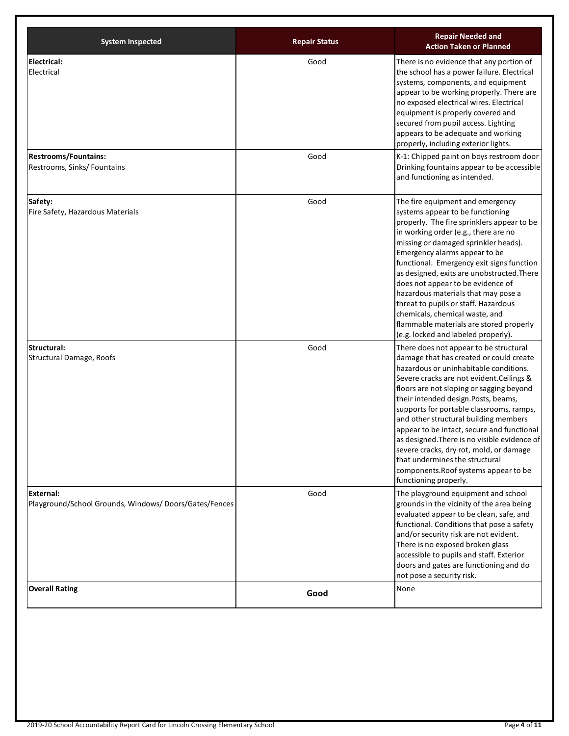| <b>System Inspected</b>                                                   | <b>Repair Status</b> | <b>Repair Needed and</b><br><b>Action Taken or Planned</b>                                                                                                                                                                                                                                                                                                                                                                                                                                                                                                                                    |
|---------------------------------------------------------------------------|----------------------|-----------------------------------------------------------------------------------------------------------------------------------------------------------------------------------------------------------------------------------------------------------------------------------------------------------------------------------------------------------------------------------------------------------------------------------------------------------------------------------------------------------------------------------------------------------------------------------------------|
| <b>Electrical:</b><br>Electrical                                          | Good                 | There is no evidence that any portion of<br>the school has a power failure. Electrical<br>systems, components, and equipment<br>appear to be working properly. There are<br>no exposed electrical wires. Electrical<br>equipment is properly covered and<br>secured from pupil access. Lighting<br>appears to be adequate and working<br>properly, including exterior lights.                                                                                                                                                                                                                 |
| <b>Restrooms/Fountains:</b><br>Restrooms, Sinks/ Fountains                | Good                 | K-1: Chipped paint on boys restroom door<br>Drinking fountains appear to be accessible<br>and functioning as intended.                                                                                                                                                                                                                                                                                                                                                                                                                                                                        |
| Safety:<br>Fire Safety, Hazardous Materials                               | Good                 | The fire equipment and emergency<br>systems appear to be functioning<br>properly. The fire sprinklers appear to be<br>in working order (e.g., there are no<br>missing or damaged sprinkler heads).<br>Emergency alarms appear to be<br>functional. Emergency exit signs function<br>as designed, exits are unobstructed. There<br>does not appear to be evidence of<br>hazardous materials that may pose a<br>threat to pupils or staff. Hazardous<br>chemicals, chemical waste, and<br>flammable materials are stored properly<br>(e.g. locked and labeled properly).                        |
| Structural:<br>Structural Damage, Roofs                                   | Good                 | There does not appear to be structural<br>damage that has created or could create<br>hazardous or uninhabitable conditions.<br>Severe cracks are not evident. Ceilings &<br>floors are not sloping or sagging beyond<br>their intended design.Posts, beams,<br>supports for portable classrooms, ramps,<br>and other structural building members<br>appear to be intact, secure and functional<br>as designed. There is no visible evidence of<br>severe cracks, dry rot, mold, or damage<br>that undermines the structural<br>components. Roof systems appear to be<br>functioning properly. |
| <b>External:</b><br>Playground/School Grounds, Windows/Doors/Gates/Fences | Good                 | The playground equipment and school<br>grounds in the vicinity of the area being<br>evaluated appear to be clean, safe, and<br>functional. Conditions that pose a safety<br>and/or security risk are not evident.<br>There is no exposed broken glass<br>accessible to pupils and staff. Exterior<br>doors and gates are functioning and do<br>not pose a security risk.                                                                                                                                                                                                                      |
| <b>Overall Rating</b>                                                     | Good                 | None                                                                                                                                                                                                                                                                                                                                                                                                                                                                                                                                                                                          |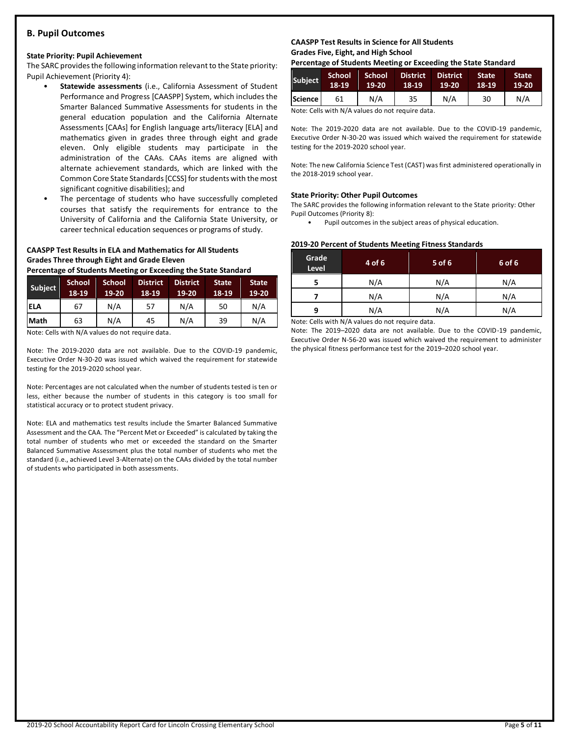# **B. Pupil Outcomes**

### **State Priority: Pupil Achievement**

The SARC provides the following information relevant to the State priority: Pupil Achievement (Priority 4):

- **Statewide assessments** (i.e., California Assessment of Student Performance and Progress [CAASPP] System, which includes the Smarter Balanced Summative Assessments for students in the general education population and the California Alternate Assessments [CAAs] for English language arts/literacy [ELA] and mathematics given in grades three through eight and grade eleven. Only eligible students may participate in the administration of the CAAs. CAAs items are aligned with alternate achievement standards, which are linked with the Common Core State Standards [CCSS] for students with the most significant cognitive disabilities); and
- The percentage of students who have successfully completed courses that satisfy the requirements for entrance to the University of California and the California State University, or career technical education sequences or programs of study.

# **CAASPP Test Results in ELA and Mathematics for All Students Grades Three through Eight and Grade Eleven**

**Percentage of Students Meeting or Exceeding the State Standard**

| Subject    | <b>School</b><br>18-19 | <b>School</b><br>19-20 | <b>District</b><br>18-19 | <b>District</b><br>$19-20$ | <b>State</b><br>18-19 | <b>State</b><br>19-20 |
|------------|------------------------|------------------------|--------------------------|----------------------------|-----------------------|-----------------------|
| <b>ELA</b> | 67                     | N/A                    | 57                       | N/A                        | 50                    | N/A                   |
| Math       | 63                     | N/A                    | 45                       | N/A                        | 39                    | N/A                   |

Note: Cells with N/A values do not require data.

Note: The 2019-2020 data are not available. Due to the COVID-19 pandemic, Executive Order N-30-20 was issued which waived the requirement for statewide testing for the 2019-2020 school year.

Note: Percentages are not calculated when the number of students tested is ten or less, either because the number of students in this category is too small for statistical accuracy or to protect student privacy.

Note: ELA and mathematics test results include the Smarter Balanced Summative Assessment and the CAA. The "Percent Met or Exceeded" is calculated by taking the total number of students who met or exceeded the standard on the Smarter Balanced Summative Assessment plus the total number of students who met the standard (i.e., achieved Level 3-Alternate) on the CAAs divided by the total number of students who participated in both assessments.

### **CAASPP Test Results in Science for All Students Grades Five, Eight, and High School**

**Percentage of Students Meeting or Exceeding the State Standard**

| <b>Subject</b> | <b>School</b><br>18-19 | School<br>19-20 | <b>District</b><br>18-19 | <b>District</b><br>19-20 | State,<br>18-19 | <b>State</b><br>$19-20$ |
|----------------|------------------------|-----------------|--------------------------|--------------------------|-----------------|-------------------------|
| Science        | 61                     | N/A             | 35                       | N/A                      | 30              | N/A                     |

Note: Cells with N/A values do not require data.

Note: The 2019-2020 data are not available. Due to the COVID-19 pandemic, Executive Order N-30-20 was issued which waived the requirement for statewide testing for the 2019-2020 school year.

Note: The new California Science Test (CAST) was first administered operationally in the 2018-2019 school year.

### **State Priority: Other Pupil Outcomes**

The SARC provides the following information relevant to the State priority: Other Pupil Outcomes (Priority 8):

Pupil outcomes in the subject areas of physical education.

### **2019-20 Percent of Students Meeting Fitness Standards**

| Grade<br>Level | 4 of 6 | $5$ of 6 | 6 of 6 |
|----------------|--------|----------|--------|
|                | N/A    | N/A      | N/A    |
|                | N/A    | N/A      | N/A    |
| q              | N/A    | N/A      | N/A    |

Note: Cells with N/A values do not require data.

Note: The 2019–2020 data are not available. Due to the COVID-19 pandemic, Executive Order N-56-20 was issued which waived the requirement to administer the physical fitness performance test for the 2019–2020 school year.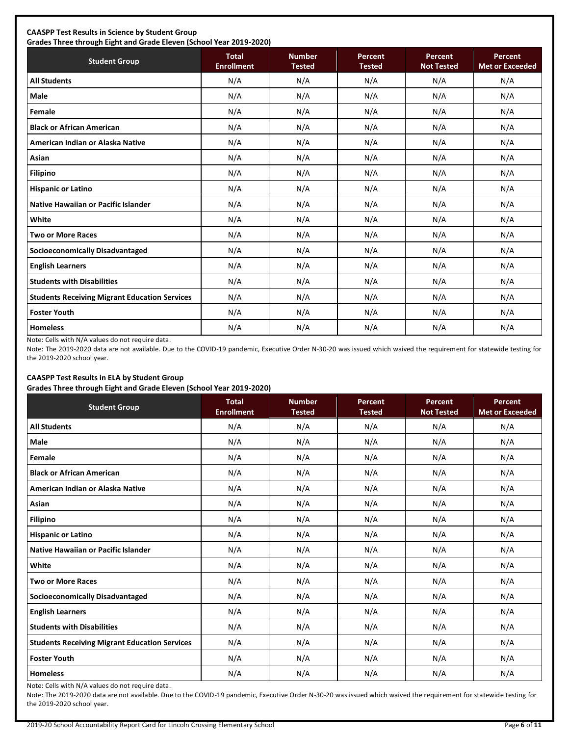# **CAASPP Test Results in Science by Student Group**

**Grades Three through Eight and Grade Eleven (School Year 2019-2020)**

| <b>Student Group</b>                                 | <b>Total</b><br><b>Enrollment</b> | <b>Number</b><br><b>Tested</b> | <b>Percent</b><br><b>Tested</b> | Percent<br><b>Not Tested</b> | Percent<br><b>Met or Exceeded</b> |
|------------------------------------------------------|-----------------------------------|--------------------------------|---------------------------------|------------------------------|-----------------------------------|
| <b>All Students</b>                                  | N/A                               | N/A                            | N/A                             | N/A                          | N/A                               |
| Male                                                 | N/A                               | N/A                            | N/A                             | N/A                          | N/A                               |
| Female                                               | N/A                               | N/A                            | N/A                             | N/A                          | N/A                               |
| <b>Black or African American</b>                     | N/A                               | N/A                            | N/A                             | N/A                          | N/A                               |
| American Indian or Alaska Native                     | N/A                               | N/A                            | N/A                             | N/A                          | N/A                               |
| Asian                                                | N/A                               | N/A                            | N/A                             | N/A                          | N/A                               |
| <b>Filipino</b>                                      | N/A                               | N/A                            | N/A                             | N/A                          | N/A                               |
| <b>Hispanic or Latino</b>                            | N/A                               | N/A                            | N/A                             | N/A                          | N/A                               |
| Native Hawaiian or Pacific Islander                  | N/A                               | N/A                            | N/A                             | N/A                          | N/A                               |
| White                                                | N/A                               | N/A                            | N/A                             | N/A                          | N/A                               |
| <b>Two or More Races</b>                             | N/A                               | N/A                            | N/A                             | N/A                          | N/A                               |
| <b>Socioeconomically Disadvantaged</b>               | N/A                               | N/A                            | N/A                             | N/A                          | N/A                               |
| <b>English Learners</b>                              | N/A                               | N/A                            | N/A                             | N/A                          | N/A                               |
| <b>Students with Disabilities</b>                    | N/A                               | N/A                            | N/A                             | N/A                          | N/A                               |
| <b>Students Receiving Migrant Education Services</b> | N/A                               | N/A                            | N/A                             | N/A                          | N/A                               |
| <b>Foster Youth</b>                                  | N/A                               | N/A                            | N/A                             | N/A                          | N/A                               |
| <b>Homeless</b>                                      | N/A                               | N/A                            | N/A                             | N/A                          | N/A                               |

Note: Cells with N/A values do not require data.

Note: The 2019-2020 data are not available. Due to the COVID-19 pandemic, Executive Order N-30-20 was issued which waived the requirement for statewide testing for the 2019-2020 school year.

# **CAASPP Test Results in ELA by Student Group**

**Grades Three through Eight and Grade Eleven (School Year 2019-2020)**

| <b>Student Group</b>                                 | <b>Total</b><br><b>Enrollment</b> | <b>Number</b><br><b>Tested</b> | Percent<br><b>Tested</b> | Percent<br><b>Not Tested</b> | Percent<br><b>Met or Exceeded</b> |
|------------------------------------------------------|-----------------------------------|--------------------------------|--------------------------|------------------------------|-----------------------------------|
| <b>All Students</b>                                  | N/A                               | N/A                            | N/A                      | N/A                          | N/A                               |
| <b>Male</b>                                          | N/A                               | N/A                            | N/A                      | N/A                          | N/A                               |
| Female                                               | N/A                               | N/A                            | N/A                      | N/A                          | N/A                               |
| <b>Black or African American</b>                     | N/A                               | N/A                            | N/A                      | N/A                          | N/A                               |
| American Indian or Alaska Native                     | N/A                               | N/A                            | N/A                      | N/A                          | N/A                               |
| Asian                                                | N/A                               | N/A                            | N/A                      | N/A                          | N/A                               |
| <b>Filipino</b>                                      | N/A                               | N/A                            | N/A                      | N/A                          | N/A                               |
| <b>Hispanic or Latino</b>                            | N/A                               | N/A                            | N/A                      | N/A                          | N/A                               |
| Native Hawaiian or Pacific Islander                  | N/A                               | N/A                            | N/A                      | N/A                          | N/A                               |
| White                                                | N/A                               | N/A                            | N/A                      | N/A                          | N/A                               |
| <b>Two or More Races</b>                             | N/A                               | N/A                            | N/A                      | N/A                          | N/A                               |
| <b>Socioeconomically Disadvantaged</b>               | N/A                               | N/A                            | N/A                      | N/A                          | N/A                               |
| <b>English Learners</b>                              | N/A                               | N/A                            | N/A                      | N/A                          | N/A                               |
| <b>Students with Disabilities</b>                    | N/A                               | N/A                            | N/A                      | N/A                          | N/A                               |
| <b>Students Receiving Migrant Education Services</b> | N/A                               | N/A                            | N/A                      | N/A                          | N/A                               |
| <b>Foster Youth</b>                                  | N/A                               | N/A                            | N/A                      | N/A                          | N/A                               |
| <b>Homeless</b>                                      | N/A                               | N/A                            | N/A                      | N/A                          | N/A                               |

Note: Cells with N/A values do not require data.

Note: The 2019-2020 data are not available. Due to the COVID-19 pandemic, Executive Order N-30-20 was issued which waived the requirement for statewide testing for the 2019-2020 school year.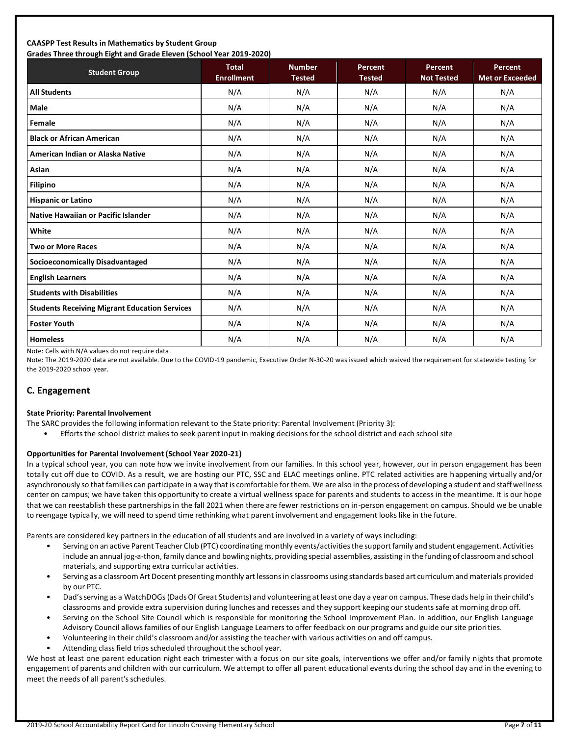### **CAASPP Test Results in Mathematics by Student Group Grades Three through Eight and Grade Eleven (School Year 2019-2020)**

| Grades Trifee through Eight and Grade Eleven (Schoor fear 2015-2020)<br><b>Student Group</b> | <b>Total</b>      | <b>Number</b> | Percent       | Percent           | <b>Percent</b>         |
|----------------------------------------------------------------------------------------------|-------------------|---------------|---------------|-------------------|------------------------|
|                                                                                              | <b>Enrollment</b> | <b>Tested</b> | <b>Tested</b> | <b>Not Tested</b> | <b>Met or Exceeded</b> |
| <b>All Students</b>                                                                          | N/A               | N/A           | N/A           | N/A               | N/A                    |
| <b>Male</b>                                                                                  | N/A               | N/A           | N/A           | N/A               | N/A                    |
| Female                                                                                       | N/A               | N/A           | N/A           | N/A               | N/A                    |
| <b>Black or African American</b>                                                             | N/A               | N/A           | N/A           | N/A               | N/A                    |
| American Indian or Alaska Native                                                             | N/A               | N/A           | N/A           | N/A               | N/A                    |
| Asian                                                                                        | N/A               | N/A           | N/A           | N/A               | N/A                    |
| <b>Filipino</b>                                                                              | N/A               | N/A           | N/A           | N/A               | N/A                    |
| <b>Hispanic or Latino</b>                                                                    | N/A               | N/A           | N/A           | N/A               | N/A                    |
| <b>Native Hawaiian or Pacific Islander</b>                                                   | N/A               | N/A           | N/A           | N/A               | N/A                    |
| White                                                                                        | N/A               | N/A           | N/A           | N/A               | N/A                    |
| <b>Two or More Races</b>                                                                     | N/A               | N/A           | N/A           | N/A               | N/A                    |
| <b>Socioeconomically Disadvantaged</b>                                                       | N/A               | N/A           | N/A           | N/A               | N/A                    |
| <b>English Learners</b>                                                                      | N/A               | N/A           | N/A           | N/A               | N/A                    |
| <b>Students with Disabilities</b>                                                            | N/A               | N/A           | N/A           | N/A               | N/A                    |
| <b>Students Receiving Migrant Education Services</b>                                         | N/A               | N/A           | N/A           | N/A               | N/A                    |
| <b>Foster Youth</b>                                                                          | N/A               | N/A           | N/A           | N/A               | N/A                    |
| <b>Homeless</b>                                                                              | N/A               | N/A           | N/A           | N/A               | N/A                    |

Note: Cells with N/A values do not require data.

Note: The 2019-2020 data are not available. Due to the COVID-19 pandemic, Executive Order N-30-20 was issued which waived the requirement for statewide testing for the 2019-2020 school year.

# **C. Engagement**

### **State Priority: Parental Involvement**

- The SARC provides the following information relevant to the State priority: Parental Involvement (Priority 3):
	- Efforts the school district makes to seek parent input in making decisions for the school district and each school site

### **Opportunities for Parental Involvement (School Year 2020-21)**

In a typical school year, you can note how we invite involvement from our families. In this school year, however, our in person engagement has been totally cut off due to COVID. As a result, we are hosting our PTC, SSC and ELAC meetings online. PTC related activities are happening virtually and/or asynchronously so that families can participate in a way that is comfortable for them. We are also in the process of developing a student and staff wellness center on campus; we have taken this opportunity to create a virtual wellness space for parents and students to access in the meantime. It is our hope that we can reestablish these partnerships in the fall 2021 when there are fewer restrictions on in-person engagement on campus. Should we be unable to reengage typically, we will need to spend time rethinking what parent involvement and engagement looks like in the future.

Parents are considered key partners in the education of all students and are involved in a variety of ways including:

- Serving on an active Parent Teacher Club (PTC) coordinating monthly events/activities the support family and student engagement. Activities include an annual jog-a-thon, family dance and bowling nights, providing special assemblies, assisting in the funding of classroom and school materials, and supporting extra curricular activities.
- Serving as a classroom Art Docent presenting monthly art lessons in classrooms using standards based art curriculum and materials provided by our PTC.
- Dad's serving as a WatchDOGs (Dads Of Great Students) and volunteering at least one day a year on campus. These dads help in their child's classrooms and provide extra supervision during lunches and recesses and they support keeping our students safe at morning drop off.
- Serving on the School Site Council which is responsible for monitoring the School Improvement Plan. In addition, our English Language Advisory Council allows families of our English Language Learners to offer feedback on our programs and guide our site priorities.
- Volunteering in their child's classroom and/or assisting the teacher with various activities on and off campus.
- Attending class field trips scheduled throughout the school year.

We host at least one parent education night each trimester with a focus on our site goals, interventions we offer and/or family nights that promote engagement of parents and children with our curriculum. We attempt to offer all parent educational events during the school day and in the evening to meet the needs of all parent's schedules.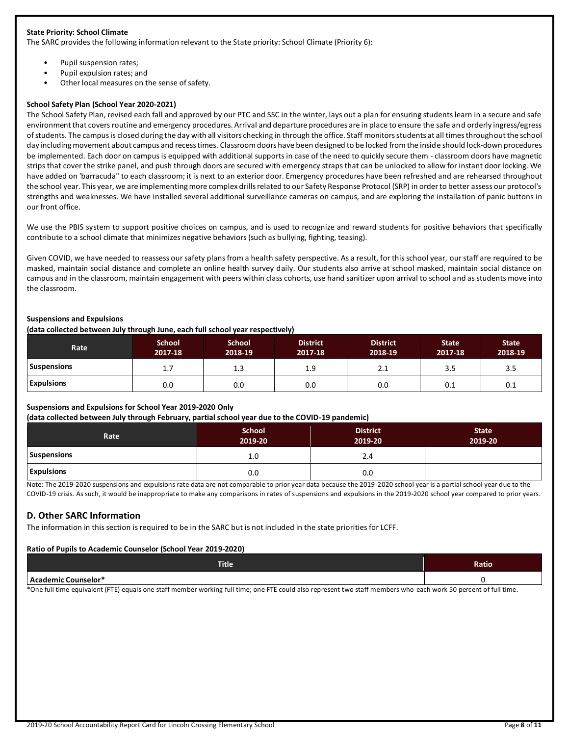### **State Priority: School Climate**

The SARC provides the following information relevant to the State priority: School Climate (Priority 6):

- Pupil suspension rates;
- Pupil expulsion rates; and
- Other local measures on the sense of safety.

### **School Safety Plan (School Year 2020-2021)**

The School Safety Plan, revised each fall and approved by our PTC and SSC in the winter, lays out a plan for ensuring students learn in a secure and safe environment that covers routine and emergency procedures. Arrival and departure procedures are in place to ensure the safe and orderly ingress/egress of students. The campus is closed during the day with all visitors checking in through the office. Staff monitors students at all times throughout the school day including movement about campus and recess times. Classroom doors have been designed to be locked from the inside should lock-down procedures be implemented. Each door on campus is equipped with additional supports in case of the need to quickly secure them - classroom doors have magnetic strips that cover the strike panel, and push through doors are secured with emergency straps that can be unlocked to allow for instant door locking. We have added on 'barracuda" to each classroom; it is next to an exterior door. Emergency procedures have been refreshed and are rehearsed throughout the school year. This year, we are implementing more complex drills related to our Safety Response Protocol (SRP) in order to better assess our protocol's strengths and weaknesses. We have installed several additional surveillance cameras on campus, and are exploring the installation of panic buttons in our front office.

We use the PBIS system to support positive choices on campus, and is used to recognize and reward students for positive behaviors that specifically contribute to a school climate that minimizes negative behaviors (such as bullying, fighting, teasing).

Given COVID, we have needed to reassess our safety plans from a health safety perspective. As a result, for this school year, our staff are required to be masked, maintain social distance and complete an online health survey daily. Our students also arrive at school masked, maintain social distance on campus and in the classroom, maintain engagement with peers within class cohorts, use hand sanitizer upon arrival to school and as students move into the classroom.

### **Suspensions and Expulsions**

**(data collected between July through June, each full school year respectively)**

| <b>Rate</b>        | <b>School</b><br>2017-18 | <b>School</b><br>2018-19 | <b>District</b><br>2017-18 | <b>District</b><br>2018-19 | <b>State</b><br>2017-18 | <b>State</b><br>2018-19 |
|--------------------|--------------------------|--------------------------|----------------------------|----------------------------|-------------------------|-------------------------|
| <b>Suspensions</b> | 1.7                      | 1.3                      | 1.9                        | 2.1                        | 3.5                     | 3.5                     |
| <b>Expulsions</b>  | 0.0                      | 0.0                      | 0.0                        | 0.0                        | 0.1                     | 0.1                     |

### **Suspensions and Expulsions for School Year 2019-2020 Only**

**(data collected between July through February, partial school year due to the COVID-19 pandemic)**

| Rate               | <b>School</b><br>2019-20 | <b>District</b><br>2019-20 | <b>State</b><br>2019-20 |
|--------------------|--------------------------|----------------------------|-------------------------|
| <b>Suspensions</b> | 1.0                      | 2.4                        |                         |
| <b>Expulsions</b>  | 0.0                      | 0.0                        |                         |

Note: The 2019-2020 suspensions and expulsions rate data are not comparable to prior year data because the 2019-2020 school year is a partial school year due to the COVID-19 crisis. As such, it would be inappropriate to make any comparisons in rates of suspensions and expulsions in the 2019-2020 school year compared to prior years.

# **D. Other SARC Information**

The information in this section is required to be in the SARC but is not included in the state priorities for LCFF.

### **Ratio of Pupils to Academic Counselor (School Year 2019-2020)**

| <b>Title</b>               | Ratio |
|----------------------------|-------|
| .<br>l Academic Counselor* |       |

\*One full time equivalent (FTE) equals one staff member working full time; one FTE could also represent two staff members who each work 50 percent of full time.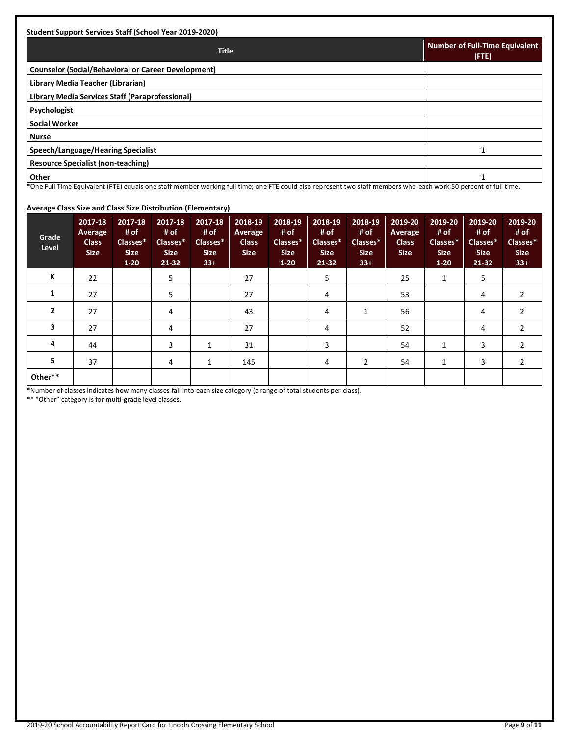| <b>Student Support Services Staff (School Year 2019-2020)</b> |                                                |
|---------------------------------------------------------------|------------------------------------------------|
| <b>Title</b>                                                  | <b>Number of Full-Time Equivalent</b><br>(FTE) |
| <b>Counselor (Social/Behavioral or Career Development)</b>    |                                                |
| Library Media Teacher (Librarian)                             |                                                |
| Library Media Services Staff (Paraprofessional)               |                                                |
| Psychologist                                                  |                                                |
| <b>Social Worker</b>                                          |                                                |
| <b>Nurse</b>                                                  |                                                |
| Speech/Language/Hearing Specialist                            |                                                |
| <b>Resource Specialist (non-teaching)</b>                     |                                                |
| Other                                                         |                                                |

# \*One Full Time Equivalent (FTE) equals one staff member working full time; one FTE could also represent two staff members who each work 50 percent of full time.

### **Average Class Size and Class Size Distribution (Elementary)**

| Grade<br>Level | 2017-18<br>Average<br><b>Class</b><br><b>Size</b> | 2017-18<br># of<br>Classes*<br><b>Size</b><br>$1 - 20$ | 2017-18<br># of<br>Classes*<br><b>Size</b><br>$21-32$ | 2017-18<br># of<br>Classes*<br><b>Size</b><br>$33+$ | 2018-19<br>Average<br><b>Class</b><br><b>Size</b> | 2018-19<br># of<br>Classes*<br><b>Size</b><br>$1 - 20$ | 2018-19<br># of<br>Classes*<br><b>Size</b><br>$21 - 32$ | 2018-19<br># of<br>Classes*<br><b>Size</b><br>$33+$ | 2019-20<br>Average<br><b>Class</b><br><b>Size</b> | 2019-20<br># of<br>Classes*<br><b>Size</b><br>$1 - 20$ | 2019-20<br># of<br>Classes*<br><b>Size</b><br>$21 - 32$ | 2019-20<br># of<br>Classes*<br><b>Size</b><br>$33+$ |
|----------------|---------------------------------------------------|--------------------------------------------------------|-------------------------------------------------------|-----------------------------------------------------|---------------------------------------------------|--------------------------------------------------------|---------------------------------------------------------|-----------------------------------------------------|---------------------------------------------------|--------------------------------------------------------|---------------------------------------------------------|-----------------------------------------------------|
| К              | 22                                                |                                                        | 5                                                     |                                                     | 27                                                |                                                        | 5                                                       |                                                     | 25                                                | $\mathbf{1}$                                           | 5                                                       |                                                     |
| 1              | 27                                                |                                                        | 5                                                     |                                                     | 27                                                |                                                        | 4                                                       |                                                     | 53                                                |                                                        | 4                                                       | 2                                                   |
| $\overline{2}$ | 27                                                |                                                        | 4                                                     |                                                     | 43                                                |                                                        | 4                                                       |                                                     | 56                                                |                                                        | 4                                                       | $\overline{2}$                                      |
| 3              | 27                                                |                                                        | 4                                                     |                                                     | 27                                                |                                                        | 4                                                       |                                                     | 52                                                |                                                        | 4                                                       | 2                                                   |
| 4              | 44                                                |                                                        | 3                                                     | 1                                                   | 31                                                |                                                        | 3                                                       |                                                     | 54                                                | 1                                                      | 3                                                       | $\overline{2}$                                      |
| 5              | 37                                                |                                                        | 4                                                     | 1                                                   | 145                                               |                                                        | 4                                                       | 2                                                   | 54                                                | 1                                                      | 3                                                       | $\overline{2}$                                      |
| Other**        |                                                   |                                                        |                                                       |                                                     |                                                   |                                                        |                                                         |                                                     |                                                   |                                                        |                                                         |                                                     |

\*Number of classes indicates how many classes fall into each size category (a range of total students per class).

\*\* "Other" category is for multi-grade level classes.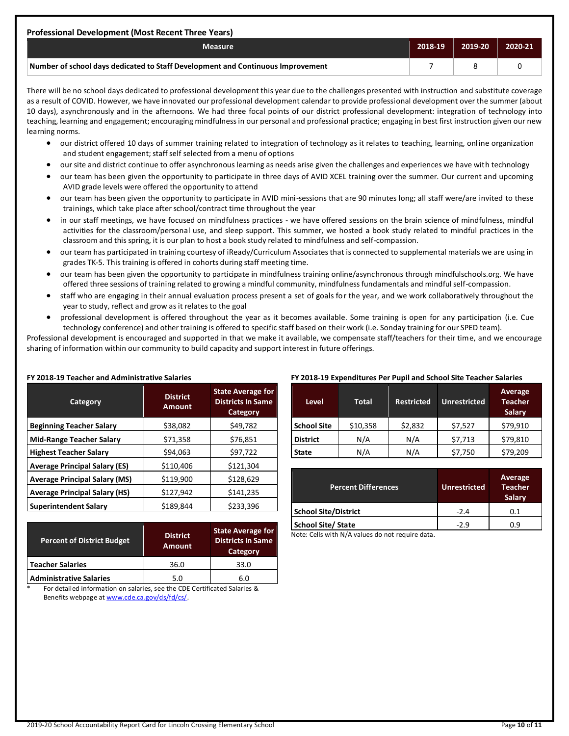| Professional Development (Most Recent Three Years)                              |         |             |         |  |  |  |
|---------------------------------------------------------------------------------|---------|-------------|---------|--|--|--|
| <b>Measure</b>                                                                  | 2018-19 | $2019 - 20$ | 2020-21 |  |  |  |
| Number of school days dedicated to Staff Development and Continuous Improvement |         |             |         |  |  |  |

There will be no school days dedicated to professional development this year due to the challenges presented with instruction and substitute coverage as a result of COVID. However, we have innovated our professional development calendar to provide professional development over the summer (about 10 days), asynchronously and in the afternoons. We had three focal points of our district professional development: integration of technology into teaching, learning and engagement; encouraging mindfulness in our personal and professional practice; engaging in best first instruction given our new learning norms.

- our district offered 10 days of summer training related to integration of technology as it relates to teaching, learning, online organization and student engagement; staff self selected from a menu of options
- our site and district continue to offer asynchronous learning as needs arise given the challenges and experiences we have with technology
- our team has been given the opportunity to participate in three days of AVID XCEL training over the summer. Our current and upcoming AVID grade levels were offered the opportunity to attend
- our team has been given the opportunity to participate in AVID mini-sessions that are 90 minutes long; all staff were/are invited to these trainings, which take place after school/contract time throughout the year
- in our staff meetings, we have focused on mindfulness practices we have offered sessions on the brain science of mindfulness, mindful activities for the classroom/personal use, and sleep support. This summer, we hosted a book study related to mindful practices in the classroom and this spring, it is our plan to host a book study related to mindfulness and self-compassion.
- our team has participated in training courtesy of iReady/Curriculum Associates that is connected to supplemental materials we are using in grades TK-5. This training is offered in cohorts during staff meeting time.
- our team has been given the opportunity to participate in mindfulness training online/asynchronous through mindfulschools.org. We have offered three sessions of training related to growing a mindful community, mindfulness fundamentals and mindful self-compassion.
- staff who are engaging in their annual evaluation process present a set of goals for the year, and we work collaboratively throughout the year to study, reflect and grow as it relates to the goal
- professional development is offered throughout the year as it becomes available. Some training is open for any participation (i.e. Cue technology conference) and other training is offered to specific staff based on their work (i.e. Sonday training for our SPED team).

Professional development is encouraged and supported in that we make it available, we compensate staff/teachers for their time, and we encourage sharing of information within our community to build capacity and support interest in future offerings.

| Category                             | <b>District</b><br><b>Amount</b> | <b>State Average for</b><br><b>Districts In Same</b><br>Category |  |
|--------------------------------------|----------------------------------|------------------------------------------------------------------|--|
| <b>Beginning Teacher Salary</b>      | \$38,082                         | \$49,782                                                         |  |
| <b>Mid-Range Teacher Salary</b>      | \$71,358                         | \$76,851                                                         |  |
| <b>Highest Teacher Salary</b>        | \$94,063                         | \$97,722                                                         |  |
| <b>Average Principal Salary (ES)</b> | \$110,406                        | \$121,304                                                        |  |
| <b>Average Principal Salary (MS)</b> | \$119,900                        | \$128,629                                                        |  |
| <b>Average Principal Salary (HS)</b> | \$127,942                        | \$141,235                                                        |  |
| <b>Superintendent Salary</b>         | \$189,844                        | \$233,396                                                        |  |

| FY 2018-19 Teacher and Administrative Salaries |  |
|------------------------------------------------|--|
|------------------------------------------------|--|

| <b>District</b><br><b>Amount</b> | <b>State Average for</b><br><b>Districts In Same</b><br>Category |
|----------------------------------|------------------------------------------------------------------|
| 36.0                             | 33.0                                                             |
| 5.0                              | 6.0                                                              |
|                                  |                                                                  |

#### For detailed information on salaries, see the CDE Certificated Salaries & Benefits webpage at [www.cde.ca.gov/ds/fd/cs/.](http://www.cde.ca.gov/ds/fd/cs/)

#### **FY 2018-19 Expenditures Per Pupil and School Site Teacher Salaries**

| <b>Level</b>    | Total    | <b>Restricted</b> | <b>Unrestricted</b> | Average<br><b>Teacher</b><br><b>Salary</b> |
|-----------------|----------|-------------------|---------------------|--------------------------------------------|
| School Site     | \$10,358 | \$2,832           | \$7,527             | \$79,910                                   |
| <b>District</b> | N/A      | N/A               | \$7,713             | \$79,810                                   |
| <b>State</b>    | N/A      | N/A               | \$7,750             | \$79,209                                   |

| <b>Percent Differences</b> | <b>Unrestricted</b> | Average<br><b>Teacher</b><br>Salary |
|----------------------------|---------------------|-------------------------------------|
| School Site/District       | $-2.4$              | 0.1                                 |
| School Site/ State         | $-2.9$              | 0.9                                 |

Note: Cells with N/A values do not require data.